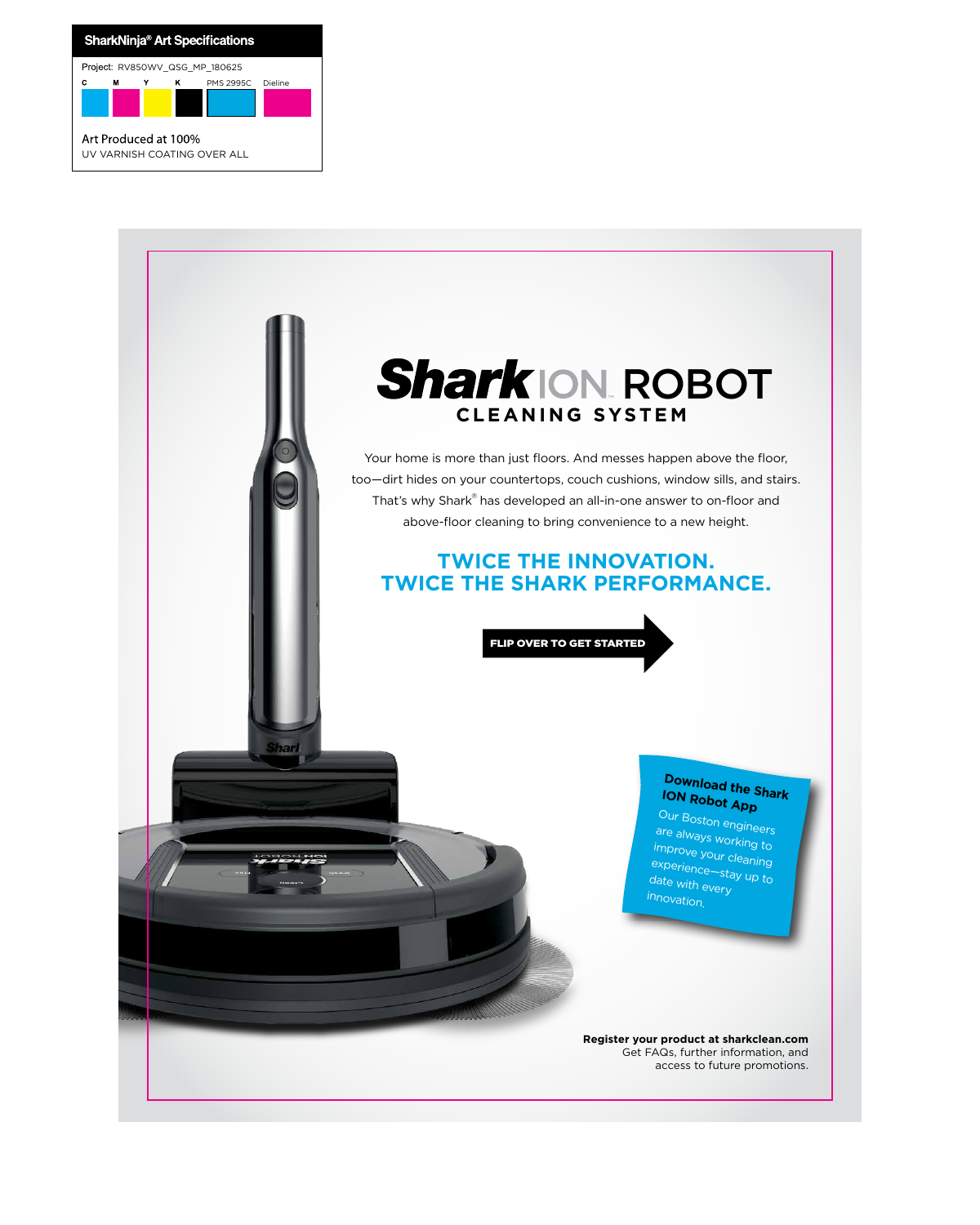Your home is more than just floors. And messes happen above the floor, too—dirt hides on your countertops, couch cushions, window sills, and stairs. That's why Shark® has developed an all-in-one answer to on-floor and above-floor cleaning to bring convenience to a new height.

## **CLEANING SYSTEM Shark ION, ROBOT**

## **TWICE THE INNOVATION. TWICE THE SHARK PERFORMANCE.**